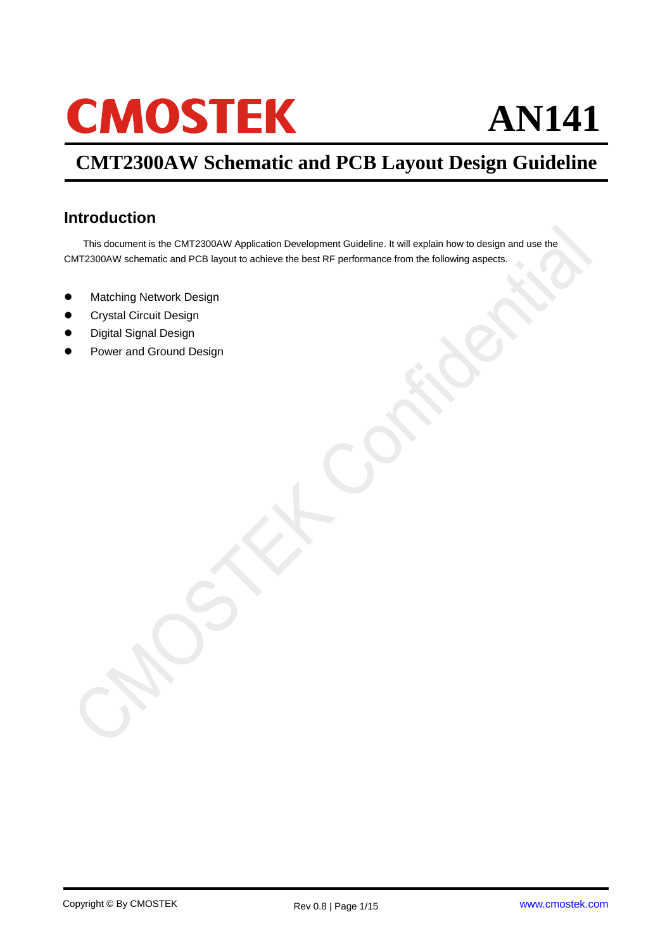# **CMOSTEK**

## **AN141**

## **CMT2300AW Schematic and PCB Layout Design Guideline**

### <span id="page-0-0"></span>**Introduction**

This document is the CMT2300AW Application Development Guideline. It will explain how to design and use the CMT2300AW schematic and PCB layout to achieve the best RF performance from the following aspects.

- **Matching Network Design**
- Crystal Circuit Design
- Digital Signal Design
- Power and Ground Design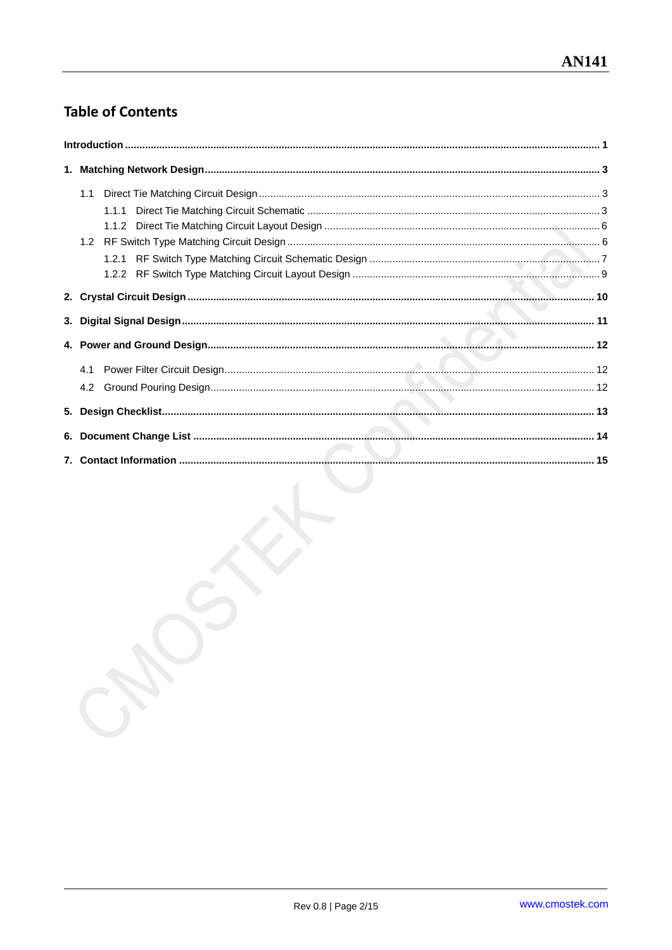## **Table of Contents**

| 4.2 |  |
|-----|--|
|     |  |
|     |  |
|     |  |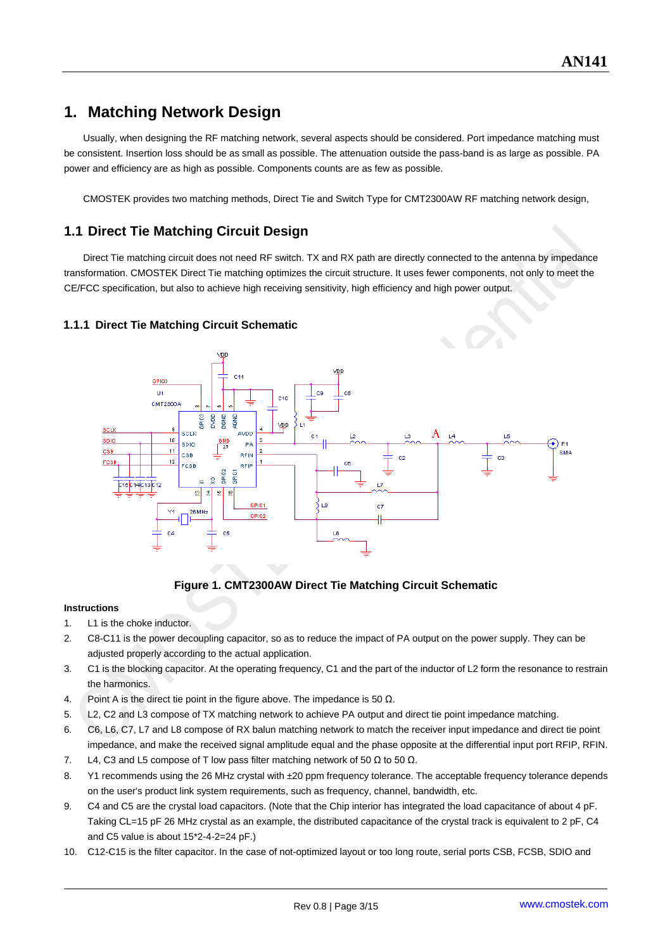## <span id="page-2-0"></span>**1. Matching Network Design**

Usually, when designing the RF matching network, several aspects should be considered. Port impedance matching must be consistent. Insertion loss should be as small as possible. The attenuation outside the pass-band is as large as possible. PA power and efficiency are as high as possible. Components counts are as few as possible.

CMOSTEK provides two matching methods, Direct Tie and Switch Type for CMT2300AW RF matching network design,

#### <span id="page-2-1"></span>**1.1 Direct Tie Matching Circuit Design**

Direct Tie matching circuit does not need RF switch. TX and RX path are directly connected to the antenna by impedance transformation. CMOSTEK Direct Tie matching optimizes the circuit structure. It uses fewer components, not only to meet the CE/FCC specification, but also to achieve high receiving sensitivity, high efficiency and high power output.



#### <span id="page-2-2"></span>**1.1.1 Direct Tie Matching Circuit Schematic**

#### **Figure 1. CMT2300AW Direct Tie Matching Circuit Schematic**

#### **Instructions**

- 1. L1 is the choke inductor.
- 2. C8-C11 is the power decoupling capacitor, so as to reduce the impact of PA output on the power supply. They can be adjusted properly according to the actual application.
- 3. C1 is the blocking capacitor. At the operating frequency, C1 and the part of the inductor of L2 form the resonance to restrain the harmonics.
- 4. Point A is the direct tie point in the figure above. The impedance is 50  $\Omega$ .
- 5. L2, C2 and L3 compose of TX matching network to achieve PA output and direct tie point impedance matching.
- 6. C6, L6, C7, L7 and L8 compose of RX balun matching network to match the receiver input impedance and direct tie point impedance, and make the received signal amplitude equal and the phase opposite at the differential input port RFIP, RFIN.
- 7. L4, C3 and L5 compose of T low pass filter matching network of 50  $\Omega$  to 50  $\Omega$ .
- 8. Y1 recommends using the 26 MHz crystal with ±20 ppm frequency tolerance. The acceptable frequency tolerance depends on the user's product link system requirements, such as frequency, channel, bandwidth, etc.
- 9. C4 and C5 are the crystal load capacitors. (Note that the Chip interior has integrated the load capacitance of about 4 pF. Taking CL=15 pF 26 MHz crystal as an example, the distributed capacitance of the crystal track is equivalent to 2 pF, C4 and C5 value is about 15\*2-4-2=24 pF.)
- 10. C12-C15 is the filter capacitor. In the case of not-optimized layout or too long route, serial ports CSB, FCSB, SDIO and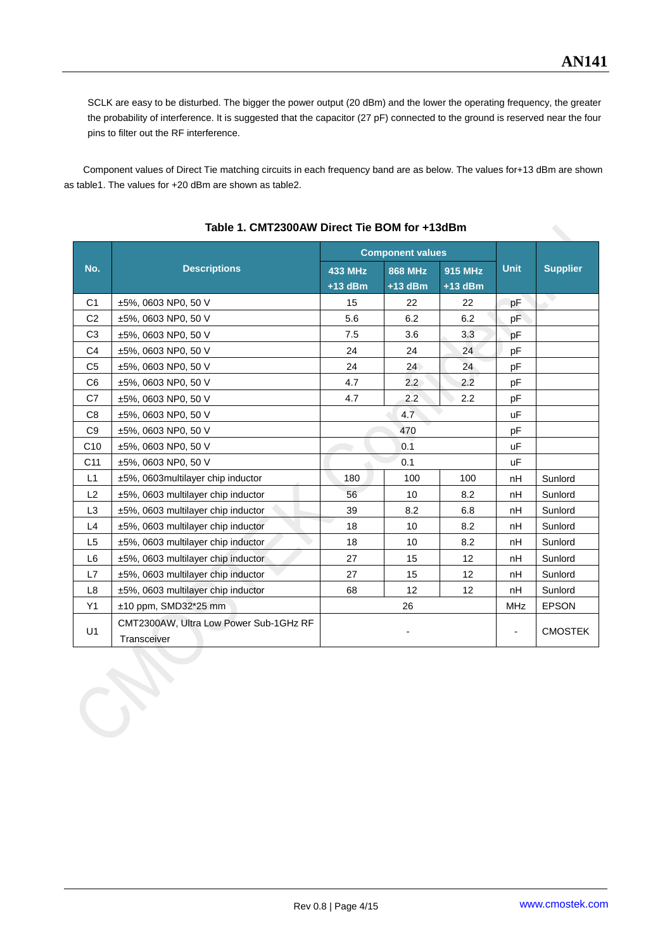SCLK are easy to be disturbed. The bigger the power output (20 dBm) and the lower the operating frequency, the greater the probability of interference. It is suggested that the capacitor (27 pF) connected to the ground is reserved near the four pins to filter out the RF interference.

Component values of Direct Tie matching circuits in each frequency band are as below. The values for+13 dBm are shown as table1. The values for +20 dBm are shown as table2.

|                                           |                                                       | <b>Component values</b>     |                             |                      |                |                 |
|-------------------------------------------|-------------------------------------------------------|-----------------------------|-----------------------------|----------------------|----------------|-----------------|
| No.                                       | <b>Descriptions</b>                                   | <b>433 MHz</b><br>$+13$ dBm | <b>868 MHz</b><br>$+13$ dBm | 915 MHz<br>$+13$ dBm | <b>Unit</b>    | <b>Supplier</b> |
| C <sub>1</sub>                            | $±5\%$ , 0603 NP0, 50 V                               | 15                          | 22                          | 22                   | pF             | N)              |
| C <sub>2</sub>                            | ±5%, 0603 NP0, 50 V                                   | 5.6                         | 6.2                         | 6.2                  | pF             |                 |
| C <sub>3</sub>                            | ±5%, 0603 NP0, 50 V                                   | 7.5                         | 3.6                         | 3.3                  | pF             |                 |
| C <sub>4</sub>                            | ±5%, 0603 NP0, 50 V                                   | 24                          | 24                          | 24                   | pF             |                 |
| C <sub>5</sub>                            | ±5%, 0603 NP0, 50 V                                   | 24                          | 24                          | 24                   | рF             |                 |
| C <sub>6</sub>                            | ±5%, 0603 NP0, 50 V                                   | 4.7                         | $2.2^{\circ}$               | 2.2                  | pF             |                 |
| C7                                        | ±5%, 0603 NP0, 50 V                                   | 4.7                         | 2.2                         | 2.2                  | pF             |                 |
| C <sub>8</sub><br>$±5\%$ , 0603 NP0, 50 V |                                                       | 4.7                         |                             |                      | <b>uF</b>      |                 |
| C <sub>9</sub>                            | ±5%, 0603 NP0, 50 V<br>470                            |                             |                             |                      | pF             |                 |
| C10                                       | $±5\%$ , 0603 NP0, 50 V                               | 0.1                         |                             | uF                   |                |                 |
| C11                                       | ±5%, 0603 NP0, 50 V                                   | 0.1                         |                             | <b>uF</b>            |                |                 |
| L1                                        | ±5%, 0603multilayer chip inductor                     | 180                         | 100                         | 100                  | nH             | Sunlord         |
| L2                                        | ±5%, 0603 multilayer chip inductor                    | 56                          | 10                          | 8.2                  | nH             | Sunlord         |
| L3                                        | ±5%, 0603 multilayer chip inductor                    | 39                          | 8.2                         | 6.8                  | nH             | Sunlord         |
| L4                                        | ±5%, 0603 multilayer chip inductor                    | 18                          | 10                          | 8.2                  | nH             | Sunlord         |
| L5                                        | ±5%, 0603 multilayer chip inductor                    | 18                          | 10                          | 8.2                  | nH             | Sunlord         |
| L <sub>6</sub>                            | ±5%, 0603 multilayer chip inductor                    | 27                          | 15                          | $12 \overline{ }$    | nH             | Sunlord         |
| L7                                        | ±5%, 0603 multilayer chip inductor                    | 27                          | 15                          | $12 \overline{ }$    | nH             | Sunlord         |
| L8                                        | ±5%, 0603 multilayer chip inductor                    | 68<br>12<br>12              |                             | nH                   | Sunlord        |                 |
| Y1                                        | $±10$ ppm, SMD32 $*25$ mm                             |                             | 26                          |                      | <b>MHz</b>     | <b>EPSON</b>    |
| U <sub>1</sub>                            | CMT2300AW, Ultra Low Power Sub-1GHz RF<br>Transceiver |                             |                             |                      | <b>CMOSTEK</b> |                 |

#### **Table 1. CMT2300AW Direct Tie BOM for +13dBm**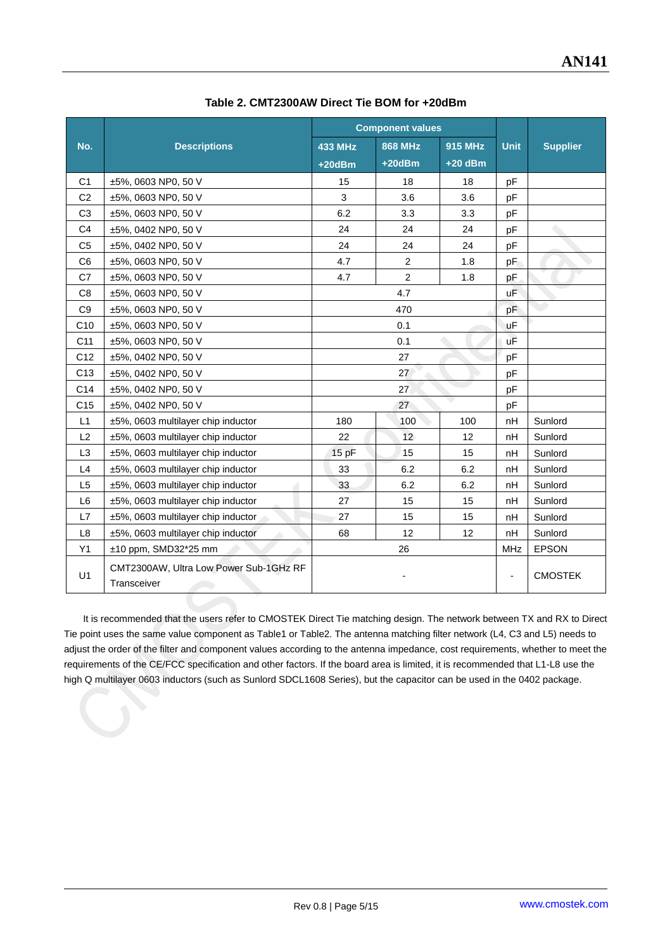|                                        |                                                       | <b>Component values</b> |                |                |              |                 |
|----------------------------------------|-------------------------------------------------------|-------------------------|----------------|----------------|--------------|-----------------|
| No.                                    | <b>Descriptions</b>                                   | <b>433 MHz</b>          | <b>868 MHz</b> | <b>915 MHz</b> | <b>Unit</b>  | <b>Supplier</b> |
|                                        |                                                       | $+20dBm$                | $+20dBm$       | $+20$ dBm      |              |                 |
| C <sub>1</sub>                         | $±5\%$ , 0603 NP0, 50 V                               | 15                      | 18             | 18             | pF           |                 |
| C <sub>2</sub>                         | ±5%, 0603 NP0, 50 V                                   | 3                       | 3.6            | 3.6            | pF           |                 |
| C <sub>3</sub>                         | ±5%, 0603 NP0, 50 V                                   | 6.2                     | 3.3            | 3.3            | pF           |                 |
| C <sub>4</sub>                         | ±5%, 0402 NP0, 50 V                                   | 24                      | 24             | 24             | pF           |                 |
| C <sub>5</sub>                         | ±5%, 0402 NP0, 50 V                                   | 24                      | 24             | 24             | pF           |                 |
| C <sub>6</sub>                         | ±5%, 0603 NP0, 50 V                                   | 4.7                     | $\overline{2}$ | 1.8            | pF           |                 |
| C <sub>7</sub>                         | ±5%, 0603 NP0, 50 V                                   | 4.7                     | $\overline{2}$ | 1.8            | рF           |                 |
| C <sub>8</sub>                         | ±5%, 0603 NP0, 50 V                                   |                         | 4.7            |                | uΕ           |                 |
| C <sub>9</sub>                         | ±5%, 0603 NP0, 50 V                                   | 470                     |                |                | pF           |                 |
| C <sub>10</sub>                        | ±5%, 0603 NP0, 50 V                                   | 0.1                     |                |                | uF           |                 |
| C <sub>11</sub>                        | ±5%, 0603 NP0, 50 V                                   | 0.1                     |                |                | uF           |                 |
| C <sub>12</sub>                        | ±5%, 0402 NP0, 50 V                                   | 27                      |                | pF             |              |                 |
| C <sub>13</sub>                        | ±5%, 0402 NP0, 50 V                                   |                         | 27             |                |              |                 |
| C <sub>14</sub><br>±5%, 0402 NP0, 50 V |                                                       |                         | 27             |                | pF           |                 |
| C <sub>15</sub>                        | ±5%, 0402 NP0, 50 V                                   |                         | 27             |                | pF           |                 |
| L1                                     | ±5%, 0603 multilayer chip inductor                    | 100<br>100<br>180       |                | nH             | Sunlord      |                 |
| L2                                     | ±5%, 0603 multilayer chip inductor                    | 22                      | 12             | 12             | nH           | Sunlord         |
| L <sub>3</sub>                         | ±5%, 0603 multilayer chip inductor                    | 15 pF                   | 15             | 15             | nH           | Sunlord         |
| L4                                     | ±5%, 0603 multilayer chip inductor                    | 33                      | 6.2            | 6.2            | nH           | Sunlord         |
| L <sub>5</sub>                         | ±5%, 0603 multilayer chip inductor                    | 33                      | 6.2            | 6.2            | nH           | Sunlord         |
| L <sub>6</sub>                         | ±5%, 0603 multilayer chip inductor                    | 27                      | 15             | 15             | nH           | Sunlord         |
| L7                                     | ±5%, 0603 multilayer chip inductor                    | 27                      | 15             | 15             | nH           | Sunlord         |
| L <sub>8</sub>                         | ±5%, 0603 multilayer chip inductor                    | 68                      | 12             | 12             | nH           | Sunlord         |
| Y1                                     | $±10$ ppm, SMD32 $*25$ mm                             | 26                      |                | <b>MHz</b>     | <b>EPSON</b> |                 |
| U1                                     | CMT2300AW, Ultra Low Power Sub-1GHz RF<br>Transceiver |                         |                |                | ٠            | <b>CMOSTEK</b>  |

**Table 2. CMT2300AW Direct Tie BOM for +20dBm**

It is recommended that the users refer to CMOSTEK Direct Tie matching design. The network between TX and RX to Direct Tie point uses the same value component as Table1 or Table2. The antenna matching filter network (L4, C3 and L5) needs to adjust the order of the filter and component values according to the antenna impedance, cost requirements, whether to meet the requirements of the CE/FCC specification and other factors. If the board area is limited, it is recommended that L1-L8 use the high Q multilayer 0603 inductors (such as Sunlord SDCL1608 Series), but the capacitor can be used in the 0402 package.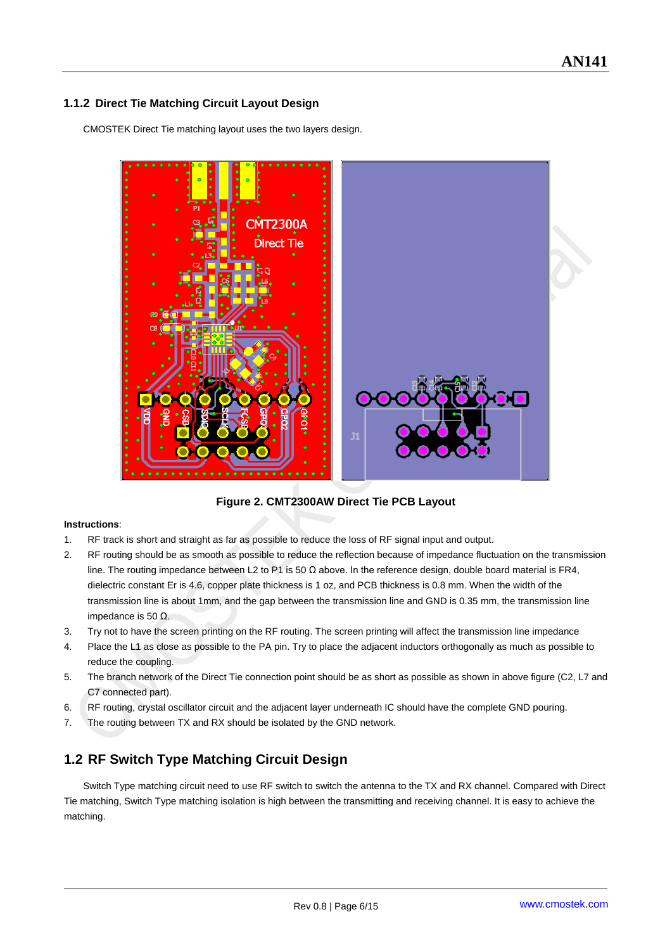#### <span id="page-5-0"></span>**1.1.2 Direct Tie Matching Circuit Layout Design**

CMOSTEK Direct Tie matching layout uses the two layers design.



**Figure 2. CMT2300AW Direct Tie PCB Layout**

#### **Instructions**:

- 1. RF track is short and straight as far as possible to reduce the loss of RF signal input and output.
- 2. RF routing should be as smooth as possible to reduce the reflection because of impedance fluctuation on the transmission line. The routing impedance between L2 to P1 is 50 Ω above. In the reference design, double board material is FR4, dielectric constant Er is 4.6, copper plate thickness is 1 oz, and PCB thickness is 0.8 mm. When the width of the transmission line is about 1mm, and the gap between the transmission line and GND is 0.35 mm, the transmission line impedance is 50 Ω.
- 3. Try not to have the screen printing on the RF routing. The screen printing will affect the transmission line impedance
- 4. Place the L1 as close as possible to the PA pin. Try to place the adjacent inductors orthogonally as much as possible to reduce the coupling.
- 5. The branch network of the Direct Tie connection point should be as short as possible as shown in above figure (C2, L7 and C7 connected part).
- 6. RF routing, crystal oscillator circuit and the adjacent layer underneath IC should have the complete GND pouring.
- 7. The routing between TX and RX should be isolated by the GND network.

#### <span id="page-5-1"></span>**1.2 RF Switch Type Matching Circuit Design**

Switch Type matching circuit need to use RF switch to switch the antenna to the TX and RX channel. Compared with Direct Tie matching, Switch Type matching isolation is high between the transmitting and receiving channel. It is easy to achieve the matching.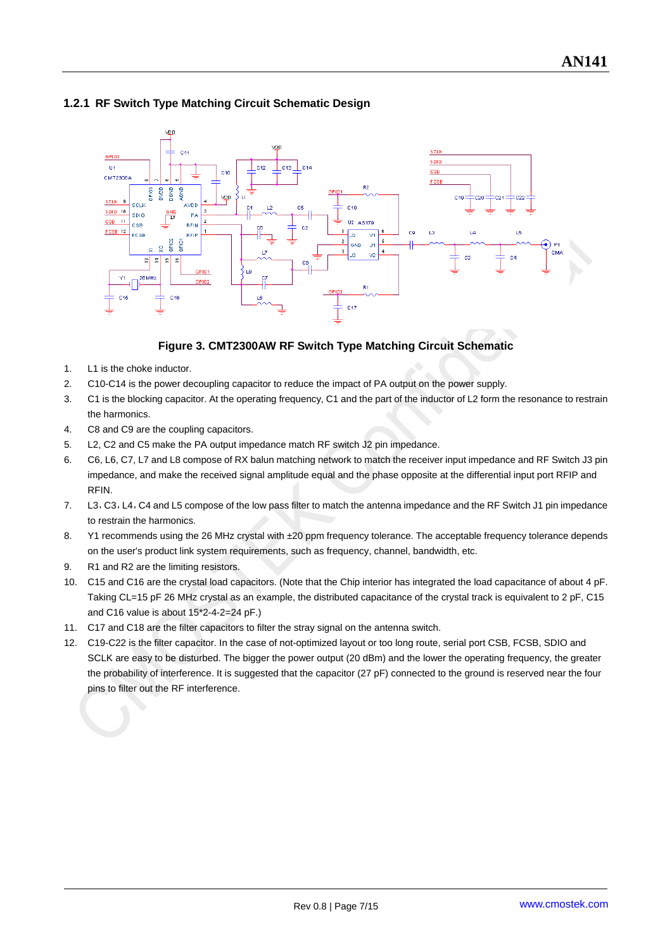

#### <span id="page-6-0"></span>**1.2.1 RF Switch Type Matching Circuit Schematic Design**

#### **Figure 3. CMT2300AW RF Switch Type Matching Circuit Schematic**

- 1. L1 is the choke inductor.
- 2. C10-C14 is the power decoupling capacitor to reduce the impact of PA output on the power supply.
- 3. C1 is the blocking capacitor. At the operating frequency, C1 and the part of the inductor of L2 form the resonance to restrain the harmonics.
- 4. C8 and C9 are the coupling capacitors.
- 5. L2, C2 and C5 make the PA output impedance match RF switch J2 pin impedance.
- 6. C6, L6, C7, L7 and L8 compose of RX balun matching network to match the receiver input impedance and RF Switch J3 pin impedance, and make the received signal amplitude equal and the phase opposite at the differential input port RFIP and RFIN.
- 7. L3,C3,L4,C4 and L5 compose of the low pass filter to match the antenna impedance and the RF Switch J1 pin impedance to restrain the harmonics.
- 8. Y1 recommends using the 26 MHz crystal with ±20 ppm frequency tolerance. The acceptable frequency tolerance depends on the user's product link system requirements, such as frequency, channel, bandwidth, etc.
- 9. R1 and R2 are the limiting resistors.
- 10. C15 and C16 are the crystal load capacitors. (Note that the Chip interior has integrated the load capacitance of about 4 pF. Taking CL=15 pF 26 MHz crystal as an example, the distributed capacitance of the crystal track is equivalent to 2 pF, C15 and C16 value is about 15\*2-4-2=24 pF.)
- 11. C17 and C18 are the filter capacitors to filter the stray signal on the antenna switch.
- 12. C19-C22 is the filter capacitor. In the case of not-optimized layout or too long route, serial port CSB, FCSB, SDIO and SCLK are easy to be disturbed. The bigger the power output (20 dBm) and the lower the operating frequency, the greater the probability of interference. It is suggested that the capacitor (27 pF) connected to the ground is reserved near the four pins to filter out the RF interference.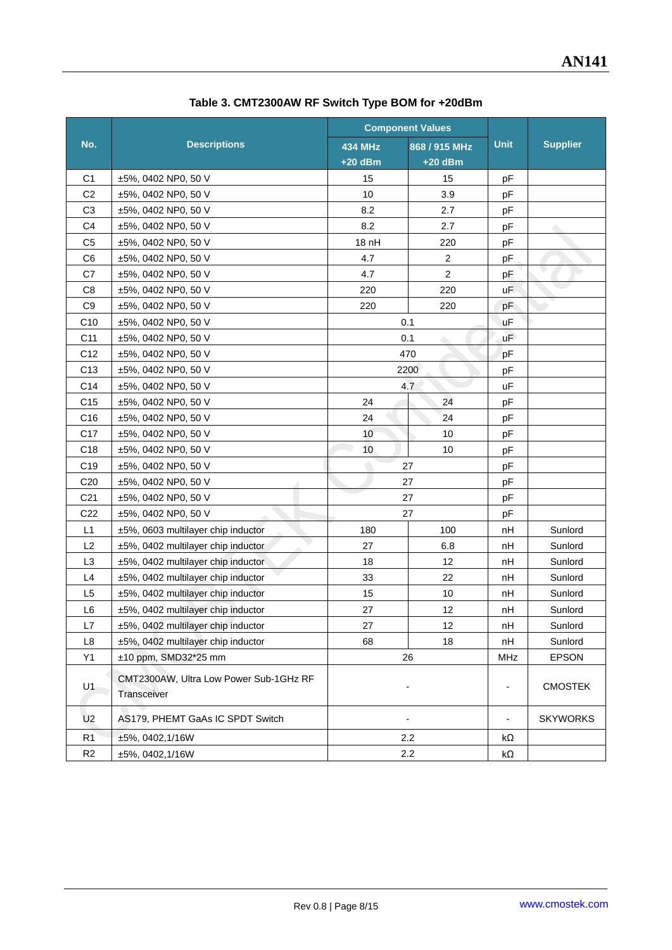|                                    |                                                       |                | <b>Component Values</b> |                          |                 |
|------------------------------------|-------------------------------------------------------|----------------|-------------------------|--------------------------|-----------------|
| No.                                | <b>Descriptions</b>                                   | <b>434 MHz</b> | 868 / 915 MHz           | <b>Unit</b>              | <b>Supplier</b> |
|                                    |                                                       | $+20$ dBm      | +20 dBm                 |                          |                 |
| C1                                 | $±5\%$ , 0402 NP0, 50 V                               | 15             | 15                      | pF                       |                 |
| C <sub>2</sub>                     | ±5%, 0402 NP0, 50 V                                   | 10             | 3.9                     | pF                       |                 |
| C <sub>3</sub>                     | ±5%, 0402 NP0, 50 V                                   | 8.2            | 2.7                     | pF                       |                 |
| C <sub>4</sub>                     | ±5%, 0402 NP0, 50 V                                   | 8.2            | 2.7                     | pF                       |                 |
| C <sub>5</sub>                     | ±5%, 0402 NP0, 50 V                                   | 18 nH          | 220                     | pF                       |                 |
| C <sub>6</sub>                     | ±5%, 0402 NP0, 50 V                                   | 4.7            | $\boldsymbol{2}$        | pF                       |                 |
| C7                                 | ±5%, 0402 NP0, 50 V                                   | 4.7            | 2                       | pF                       |                 |
| C <sub>8</sub>                     | ±5%, 0402 NP0, 50 V                                   | 220            | 220                     | uF.                      |                 |
| C <sub>9</sub>                     | ±5%, 0402 NP0, 50 V                                   | 220            | 220                     | pF                       |                 |
| C <sub>10</sub>                    | ±5%, 0402 NP0, 50 V                                   |                | 0.1                     | uF                       |                 |
| C11                                | ±5%, 0402 NP0, 50 V                                   |                | 0.1<br>$\triangle$      | uF                       |                 |
| C <sub>12</sub>                    | ±5%, 0402 NP0, 50 V                                   |                | 470                     | pF                       |                 |
| C <sub>13</sub>                    | ±5%, 0402 NP0, 50 V                                   |                | 2200                    | pF                       |                 |
| C14                                | ±5%, 0402 NP0, 50 V                                   | 4.7            |                         | uF                       |                 |
| C <sub>15</sub>                    | ±5%, 0402 NP0, 50 V                                   | 24             | 24                      | pF                       |                 |
| C <sub>16</sub>                    | ±5%, 0402 NP0, 50 V                                   | 24             | 24                      | pF                       |                 |
| C17                                | ±5%, 0402 NP0, 50 V                                   | 10             | 10                      | pF                       |                 |
| C <sub>18</sub>                    | ±5%, 0402 NP0, 50 V                                   | 10             | 10                      | pF                       |                 |
| C <sub>19</sub>                    | ±5%, 0402 NP0, 50 V                                   |                | 27                      | pF                       |                 |
| C <sub>20</sub>                    | ±5%, 0402 NP0, 50 V                                   |                | 27                      | pF                       |                 |
| C <sub>21</sub>                    | ±5%, 0402 NP0, 50 V                                   | 27             |                         | pF                       |                 |
| C <sub>22</sub>                    | ±5%, 0402 NP0, 50 V                                   |                | 27                      | pF                       |                 |
| L1                                 | ±5%, 0603 multilayer chip inductor                    | 180            | 100                     | nH                       | Sunlord         |
| L2                                 | ±5%, 0402 multilayer chip inductor                    | 27             | 6.8                     | nH                       | Sunlord         |
| L <sub>3</sub>                     | ±5%, 0402 multilayer chip inductor                    | 18             | 12                      | nH                       | Sunlord         |
| L4                                 | ±5%, 0402 multilayer chip inductor                    | 33             | 22                      | nH                       | Sunlord         |
| L <sub>5</sub>                     | ±5%, 0402 multilayer chip inductor                    | 15             | 10                      | nH                       | Sunlord         |
| L <sub>6</sub>                     | ±5%, 0402 multilayer chip inductor                    | 27             | 12                      | nH                       | Sunlord         |
| L7                                 | ±5%, 0402 multilayer chip inductor                    | 27             | 12                      | nH                       | Sunlord         |
| L8                                 | ±5%, 0402 multilayer chip inductor                    | 68             | 18                      | nH                       | Sunlord         |
| Y1                                 | ±10 ppm, SMD32*25 mm<br>26                            |                |                         | MHz                      | <b>EPSON</b>    |
| U1                                 | CMT2300AW, Ultra Low Power Sub-1GHz RF<br>Transceiver |                |                         | $\overline{\phantom{a}}$ | <b>CMOSTEK</b>  |
| U <sub>2</sub>                     | AS179, PHEMT GaAs IC SPDT Switch                      |                | $\overline{a}$          | $\overline{\phantom{a}}$ | <b>SKYWORKS</b> |
| R <sub>1</sub>                     | ±5%, 0402, 1/16W                                      |                | 2.2                     | kΩ                       |                 |
| R <sub>2</sub><br>±5%, 0402, 1/16W |                                                       | 2.2            |                         | kΩ                       |                 |

**Table 3. CMT2300AW RF Switch Type BOM for +20dBm**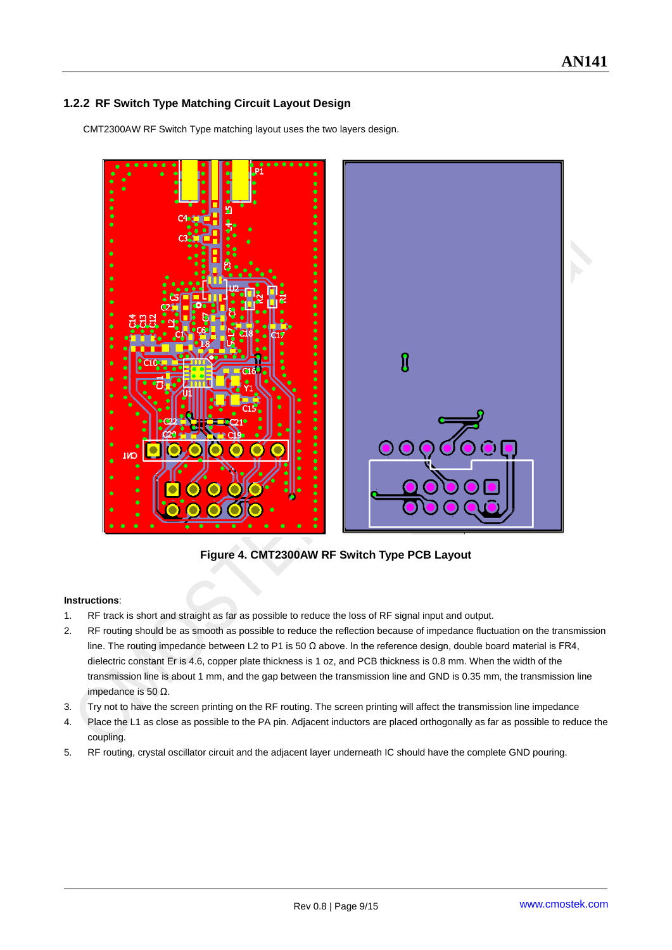#### <span id="page-8-0"></span>**1.2.2 RF Switch Type Matching Circuit Layout Design**

CMT2300AW RF Switch Type matching layout uses the two layers design.



**Figure 4. CMT2300AW RF Switch Type PCB Layout**

#### **Instructions**:

- 1. RF track is short and straight as far as possible to reduce the loss of RF signal input and output.
- 2. RF routing should be as smooth as possible to reduce the reflection because of impedance fluctuation on the transmission line. The routing impedance between L2 to P1 is 50  $Ω$  above. In the reference design, double board material is FR4, dielectric constant Er is 4.6, copper plate thickness is 1 oz, and PCB thickness is 0.8 mm. When the width of the transmission line is about 1 mm, and the gap between the transmission line and GND is 0.35 mm, the transmission line impedance is 50 Ω.
- 3. Try not to have the screen printing on the RF routing. The screen printing will affect the transmission line impedance
- 4. Place the L1 as close as possible to the PA pin. Adjacent inductors are placed orthogonally as far as possible to reduce the coupling.
- 5. RF routing, crystal oscillator circuit and the adjacent layer underneath IC should have the complete GND pouring.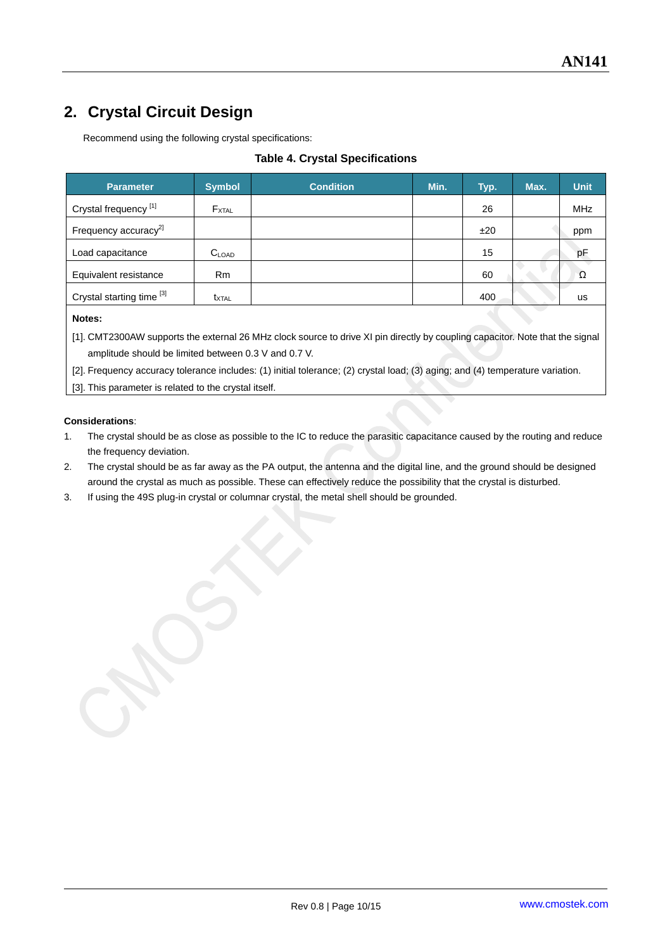## <span id="page-9-0"></span>**2. Crystal Circuit Design**

Recommend using the following crystal specifications:

#### **Table 4. Crystal Specifications**

| <b>Parameter</b>                 | <b>Symbol</b>     | <b>Condition</b> | Min. | Typ. | Max. | <b>Unit</b> |
|----------------------------------|-------------------|------------------|------|------|------|-------------|
| Crystal frequency <sup>[1]</sup> | $F_{\text{XTAL}}$ |                  |      | 26   |      | <b>MHz</b>  |
| Frequency accuracy <sup>2]</sup> |                   |                  |      | ±20  |      | ppm         |
| Load capacitance                 | $C_{\text{LOAD}}$ |                  |      | 15   |      | pF          |
| Equivalent resistance            | Rm                |                  |      | 60   |      | Ω           |
| Crystal starting time [3]        | t <sub>XTAL</sub> |                  |      | 400  |      | <b>us</b>   |
| Notes:                           |                   |                  |      |      |      |             |

[1]. CMT2300AW supports the external 26 MHz clock source to drive XI pin directly by coupling capacitor. Note that the signal amplitude should be limited between 0.3 V and 0.7 V.

[2]. Frequency accuracy tolerance includes: (1) initial tolerance; (2) crystal load; (3) aging; and (4) temperature variation.

[3]. This parameter is related to the crystal itself.

#### **Considerations**:

- 1. The crystal should be as close as possible to the IC to reduce the parasitic capacitance caused by the routing and reduce the frequency deviation.
- 2. The crystal should be as far away as the PA output, the antenna and the digital line, and the ground should be designed around the crystal as much as possible. These can effectively reduce the possibility that the crystal is disturbed.
- 3. If using the 49S plug-in crystal or columnar crystal, the metal shell should be grounded.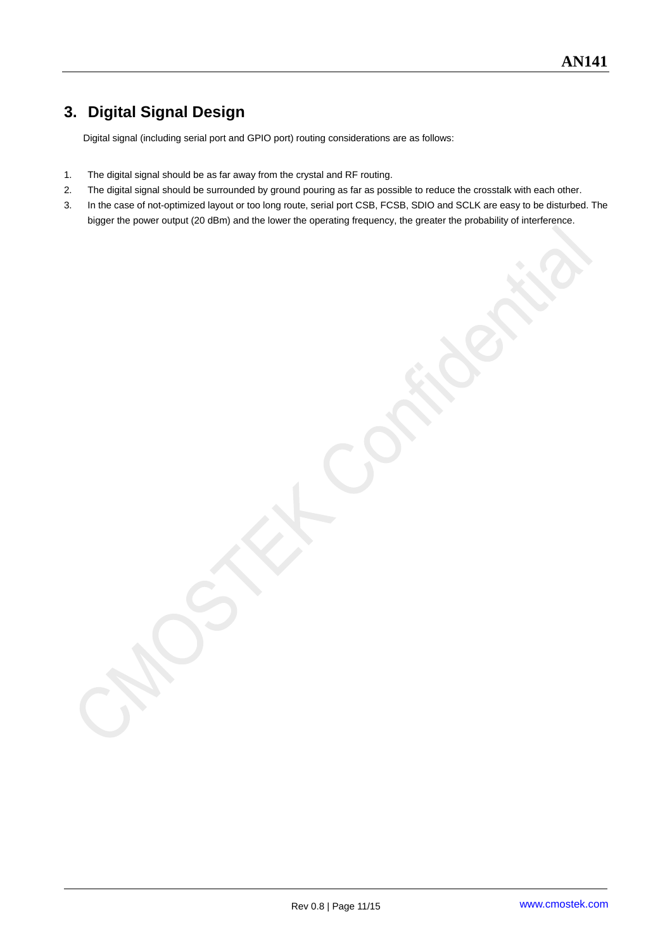## <span id="page-10-0"></span>**3. Digital Signal Design**

Digital signal (including serial port and GPIO port) routing considerations are as follows:

- 1. The digital signal should be as far away from the crystal and RF routing.
- 2. The digital signal should be surrounded by ground pouring as far as possible to reduce the crosstalk with each other.
- 3. In the case of not-optimized layout or too long route, serial port CSB, FCSB, SDIO and SCLK are easy to be disturbed. The bigger the power output (20 dBm) and the lower the operating frequency, the greater the probability of interference.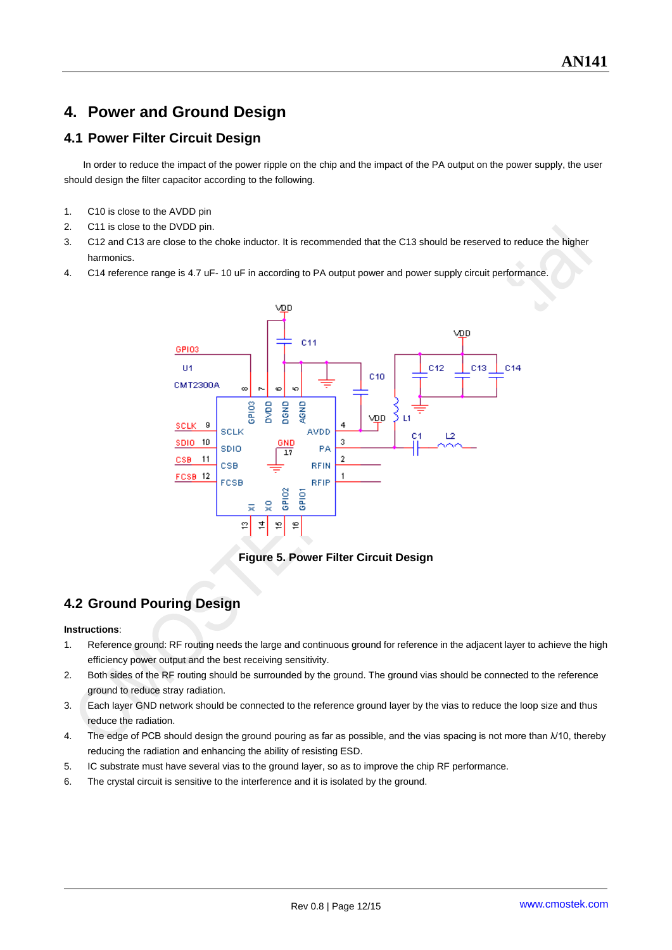## <span id="page-11-0"></span>**4. Power and Ground Design**

#### <span id="page-11-1"></span>**4.1 Power Filter Circuit Design**

In order to reduce the impact of the power ripple on the chip and the impact of the PA output on the power supply, the user should design the filter capacitor according to the following.

- 1. C10 is close to the AVDD pin
- 2. C11 is close to the DVDD pin.
- 3. C12 and C13 are close to the choke inductor. It is recommended that the C13 should be reserved to reduce the higher harmonics.
- 4. C14 reference range is 4.7 uF- 10 uF in according to PA output power and power supply circuit performance.



**Figure 5. Power Filter Circuit Design**

#### <span id="page-11-2"></span>**4.2 Ground Pouring Design**

#### **Instructions**:

- 1. Reference ground: RF routing needs the large and continuous ground for reference in the adjacent layer to achieve the high efficiency power output and the best receiving sensitivity.
- 2. Both sides of the RF routing should be surrounded by the ground. The ground vias should be connected to the reference ground to reduce stray radiation.
- 3. Each layer GND network should be connected to the reference ground layer by the vias to reduce the loop size and thus reduce the radiation.
- 4. The edge of PCB should design the ground pouring as far as possible, and the vias spacing is not more than λ/10, thereby reducing the radiation and enhancing the ability of resisting ESD.
- 5. IC substrate must have several vias to the ground layer, so as to improve the chip RF performance.
- 6. The crystal circuit is sensitive to the interference and it is isolated by the ground.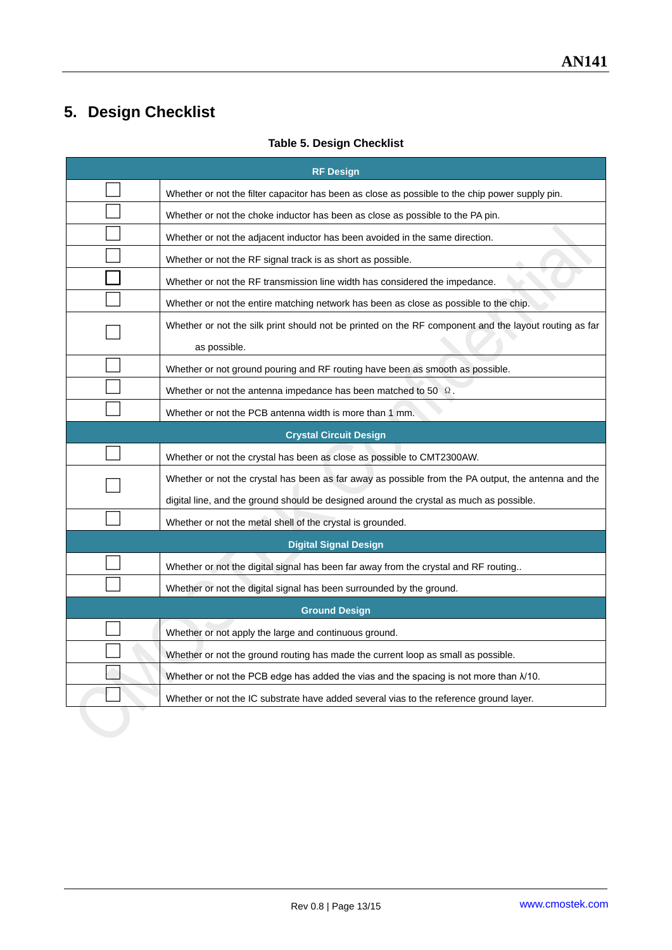## <span id="page-12-0"></span>**5. Design Checklist**

| <b>RF Design</b> |                                                                                                                       |  |  |  |  |  |
|------------------|-----------------------------------------------------------------------------------------------------------------------|--|--|--|--|--|
|                  | Whether or not the filter capacitor has been as close as possible to the chip power supply pin.                       |  |  |  |  |  |
|                  | Whether or not the choke inductor has been as close as possible to the PA pin.                                        |  |  |  |  |  |
|                  | Whether or not the adjacent inductor has been avoided in the same direction.                                          |  |  |  |  |  |
|                  | Whether or not the RF signal track is as short as possible.                                                           |  |  |  |  |  |
|                  | Whether or not the RF transmission line width has considered the impedance.                                           |  |  |  |  |  |
|                  | Whether or not the entire matching network has been as close as possible to the chip.                                 |  |  |  |  |  |
|                  | Whether or not the silk print should not be printed on the RF component and the layout routing as far<br>as possible. |  |  |  |  |  |
|                  | Whether or not ground pouring and RF routing have been as smooth as possible.                                         |  |  |  |  |  |
|                  | Whether or not the antenna impedance has been matched to 50 $\Omega$ .                                                |  |  |  |  |  |
|                  | Whether or not the PCB antenna width is more than 1 mm.                                                               |  |  |  |  |  |
|                  | <b>Crystal Circuit Design</b>                                                                                         |  |  |  |  |  |
|                  | Whether or not the crystal has been as close as possible to CMT2300AW.                                                |  |  |  |  |  |
|                  | Whether or not the crystal has been as far away as possible from the PA output, the antenna and the                   |  |  |  |  |  |
|                  | digital line, and the ground should be designed around the crystal as much as possible.                               |  |  |  |  |  |
|                  | Whether or not the metal shell of the crystal is grounded.                                                            |  |  |  |  |  |
|                  | <b>Digital Signal Design</b>                                                                                          |  |  |  |  |  |
|                  | Whether or not the digital signal has been far away from the crystal and RF routing                                   |  |  |  |  |  |
|                  | Whether or not the digital signal has been surrounded by the ground.                                                  |  |  |  |  |  |
|                  | <b>Ground Design</b>                                                                                                  |  |  |  |  |  |
|                  | Whether or not apply the large and continuous ground.                                                                 |  |  |  |  |  |
|                  | Whether or not the ground routing has made the current loop as small as possible.                                     |  |  |  |  |  |
|                  | Whether or not the PCB edge has added the vias and the spacing is not more than $\lambda$ /10.                        |  |  |  |  |  |
|                  | Whether or not the IC substrate have added several vias to the reference ground layer.                                |  |  |  |  |  |
|                  |                                                                                                                       |  |  |  |  |  |

#### **Table 5. Design Checklist**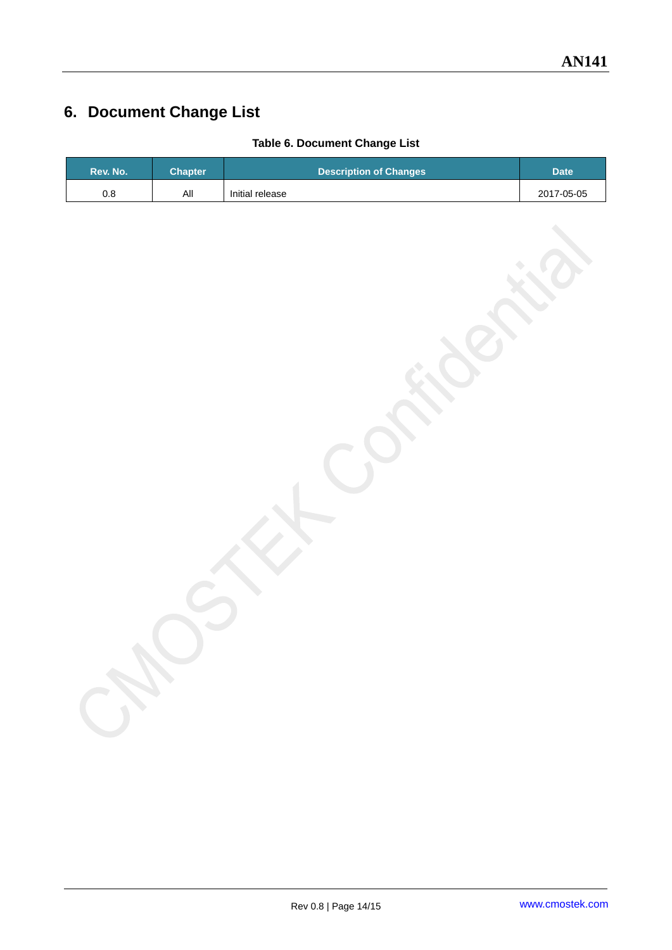## <span id="page-13-0"></span>**6. Document Change List**

|  |  | Table 6. Document Change List |
|--|--|-------------------------------|
|--|--|-------------------------------|

| Rev. No. | Chapter. | <b>Description of Changes</b> | <b>Date</b> |
|----------|----------|-------------------------------|-------------|
| 0.8      | Αll      | Initial release               | 2017-05-05  |